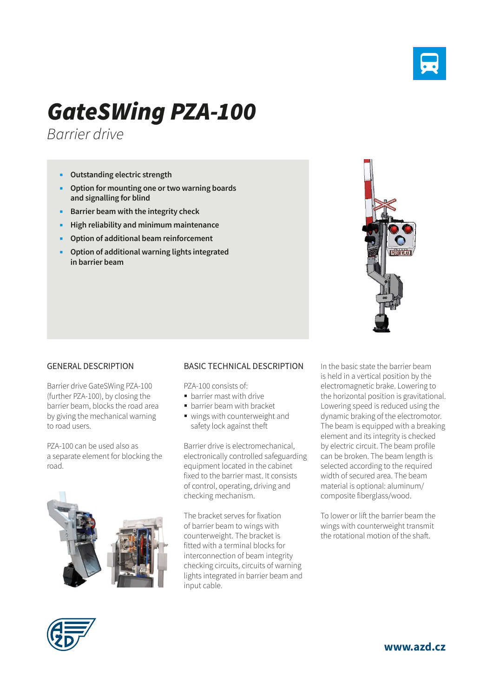

## *GateSWing PZA-100*

*Barrier drive*

- **Outstanding electric strength**
- **Option for mounting one or two warning boards and signalling for blind**
- **Barrier beam with the integrity check**
- **High reliability and minimum maintenance**
- **Option of additional beam reinforcement**
- **Option of additional warning lights integrated in barrier beam**



## GENERAL DESCRIPTION

Barrier drive GateSWing PZA-100 (further PZA-100), by closing the barrier beam, blocks the road area by giving the mechanical warning to road users.

PZA-100 can be used also as a separate element for blocking the road.



## BASIC TECHNICAL DESCRIPTION

PZA-100 consists of:

- **•** barrier mast with drive
- **barrier beam with bracket**
- wings with counterweight and safety lock against theft

Barrier drive is electromechanical, electronically controlled safeguarding equipment located in the cabinet fixed to the barrier mast. It consists of control, operating, driving and checking mechanism.

The bracket serves for fixation of barrier beam to wings with counterweight. The bracket is fitted with a terminal blocks for interconnection of beam integrity checking circuits, circuits of warning lights integrated in barrier beam and input cable.

In the basic state the barrier beam is held in a vertical position by the electromagnetic brake. Lowering to the horizontal position is gravitational. Lowering speed is reduced using the dynamic braking of the electromotor. The beam is equipped with a breaking element and its integrity is checked by electric circuit. The beam profile can be broken. The beam length is selected according to the required width of secured area. The beam material is optional: aluminum/ composite fiberglass/wood.

To lower or lift the barrier beam the wings with counterweight transmit the rotational motion of the shaft.